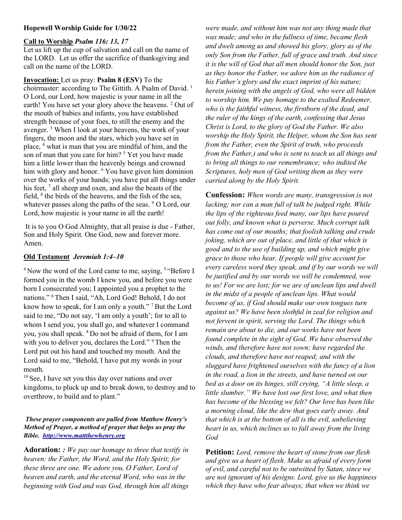### Hopewell Worship Guide for 1/30/22

#### Call to Worship Psalm 116: 13, 17

Let us lift up the cup of salvation and call on the name of the LORD. Let us offer the sacrifice of thanksgiving and call on the name of the LORD.

Invocation: Let us pray: Psalm 8 (ESV) To the choirmaster: according to The Gittith. A Psalm of David.<sup>1</sup> O Lord, our Lord, how majestic is your name in all the earth! You have set your glory above the heavens. <sup>2</sup> Out of the mouth of babies and infants, you have established strength because of your foes, to still the enemy and the avenger.<sup>3</sup> When I look at your heavens, the work of your fingers, the moon and the stars, which you have set in place, <sup>4</sup> what is man that you are mindful of him, and the son of man that you care for him?<sup>5</sup> Yet you have made him a little lower than the heavenly beings and crowned him with glory and honor. <sup>6</sup> You have given him dominion over the works of your hands; you have put all things under his feet, <sup>7</sup> all sheep and oxen, and also the beasts of the field,  $8$  the birds of the heavens, and the fish of the sea, whatever passes along the paths of the seas. <sup>9</sup> O Lord, our Lord, how majestic is your name in all the earth!

 It is to you O God Almighty, that all praise is due - Father, Son and Holy Spirit. One God, now and forever more. Amen.

### Old Testament Jeremiah 1:4–10

 $4$ Now the word of the Lord came to me, saying,  $5$  "Before I formed you in the womb I knew you, and before you were born I consecrated you; I appointed you a prophet to the nations." <sup>6</sup>Then I said, "Ah, Lord God! Behold, I do not know how to speak, for I am only a youth."<sup>7</sup> But the Lord said to me, "Do not say, 'I am only a youth'; for to all to whom I send you, you shall go, and whatever I command you, you shall speak. <sup>8</sup>Do not be afraid of them, for I am with you to deliver you, declares the Lord."<sup>9</sup> Then the Lord put out his hand and touched my mouth. And the Lord said to me, "Behold, I have put my words in your mouth.

 $10$  See, I have set you this day over nations and over kingdoms, to pluck up and to break down, to destroy and to overthrow, to build and to plant."

### These prayer components are pulled from Matthew Henry's Method of Prayer, a method of prayer that helps us pray the Bible. http://www.mattthewhenry.org

Adoration: : We pay our homage to three that testify in heaven: the Father, the Word, and the Holy Spirit; for these three are one. We adore you, O Father, Lord of heaven and earth, and the eternal Word, who was in the beginning with God and was God, through him all things

were made, and without him was not any thing made that was made; and who in the fullness of time, became flesh and dwelt among us and showed his glory, glory as of the only Son from the Father, full of grace and truth. And since it is the will of God that all men should honor the Son, just as they honor the Father, we adore him as the radiance of his Father's glory and the exact imprint of his nature; herein joining with the angels of God, who were all bidden to worship him. We pay homage to the exalted Redeemer, who is the faithful witness, the firstborn of the dead, and the ruler of the kings of the earth, confessing that Jesus Christ is Lord, to the glory of God the Father. We also worship the Holy Spirit, the Helper, whom the Son has sent from the Father, even the Spirit of truth, who proceeds from the Father,) and who is sent to teach us all things and to bring all things to our remembrance; who indited the Scriptures, holy men of God writing them as they were carried along by the Holy Spirit.

Confession: When words are many, transgression is not lacking; nor can a man full of talk be judged right. While the lips of the righteous feed many, our lips have poured out folly, and known what is perverse. Much corrupt talk has come out of our mouths; that foolish talking and crude joking, which are out of place, and little of that which is good and to the use of building up, and which might give grace to those who hear. If people will give account for every careless word they speak, and if by our words we will be justified and by our words we will be condemned, woe to us! For we are lost; for we are of unclean lips and dwell in the midst of a people of unclean lips. What would become of us, if God should make our own tongues turn against us? We have been slothful in zeal for religion and not fervent in spirit, serving the Lord. The things which remain are about to die, and our works have not been found complete in the sight of God. We have observed the winds, and therefore have not sown; have regarded the clouds, and therefore have not reaped; and with the sluggard have frightened ourselves with the fancy of a lion in the road, a lion in the streets, and have turned on our bed as a door on its hinges, still crying, "A little sleep, a little slumber." We have lost our first love, and what then has become of the blessing we felt? Our love has been like a morning cloud, like the dew that goes early away. And that which is at the bottom of all is the evil, unbelieving heart in us, which inclines us to fall away from the living God

**Petition:** Lord, remove the heart of stone from our flesh and give us a heart of flesh. Make us afraid of every form of evil, and careful not to be outwitted by Satan, since we are not ignorant of his designs. Lord, give us the happiness which they have who fear always; that when we think we